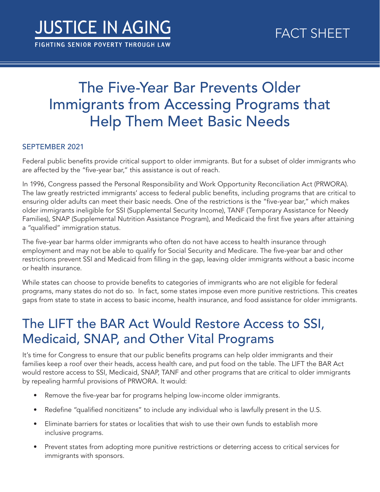## The Five-Year Bar Prevents Older Immigrants from Accessing Programs that Help Them Meet Basic Needs

## SEPTEMBER 2021

Federal public benefits provide critical support to older immigrants. But for a subset of older immigrants who are affected by the "five-year bar," this assistance is out of reach.

In 1996, Congress passed the Personal Responsibility and Work Opportunity Reconciliation Act (PRWORA). The law greatly restricted immigrants' access to federal public benefts, including programs that are critical to ensuring older adults can meet their basic needs. One of the restrictions is the "five-year bar," which makes older immigrants ineligible for SSI (Supplemental Security Income), TANF (Temporary Assistance for Needy Families), SNAP (Supplemental Nutrition Assistance Program), and Medicaid the first five years after attaining a "qualifed" immigration status.

The five-year bar harms older immigrants who often do not have access to health insurance through employment and may not be able to qualify for Social Security and Medicare. The five-year bar and other restrictions prevent SSI and Medicaid from flling in the gap, leaving older immigrants without a basic income or health insurance.

While states can choose to provide benefts to categories of immigrants who are not eligible for federal programs, many states do not do so. In fact, some states impose even more punitive restrictions. This creates gaps from state to state in access to basic income, health insurance, and food assistance for older immigrants.

## The LIFT the BAR Act Would Restore Access to SSI, Medicaid, SNAP, and Other Vital Programs

It's time for Congress to ensure that our public benefts programs can help older immigrants and their families keep a roof over their heads, access health care, and put food on the table. The LIFT the BAR Act would restore access to SSI, Medicaid, SNAP, TANF and other programs that are critical to older immigrants by repealing harmful provisions of PRWORA. It would:

- Remove the five-year bar for programs helping low-income older immigrants.
- Redefine "qualified noncitizens" to include any individual who is lawfully present in the U.S.
- Eliminate barriers for states or localities that wish to use their own funds to establish more inclusive programs.
- Prevent states from adopting more punitive restrictions or deterring access to critical services for immigrants with sponsors.